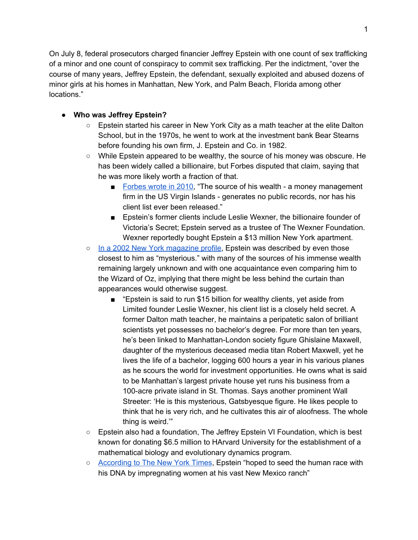On July 8, federal prosecutors charged financier Jeffrey Epstein with one count of sex trafficking of a minor and one count of conspiracy to commit sex trafficking. Per the indictment, "over the course of many years, Jeffrey Epstein, the defendant, sexually exploited and abused dozens of minor girls at his homes in Manhattan, New York, and Palm Beach, Florida among other locations."

### **● Who was Jeffrey Epstein?**

- Epstein started his career in New York City as a math teacher at the elite Dalton School, but in the 1970s, he went to work at the investment bank Bear Stearns before founding his own firm, J. Epstein and Co. in 1982.
- While Epstein appeared to be wealthy, the source of his money was obscure. He has been widely called a billionaire, but Forbes disputed that claim, saying that he was more likely worth a fraction of that.
	- [Forbes](https://www.forbes.com/sites/billions/2010/07/23/is-billionaire-sex-offender-jeffrey-epstein-all-that-rich/#1d2f4eaf1cd2) wrote in 2010, "The source of his wealth a money management firm in the US Virgin Islands - generates no public records, nor has his client list ever been released."
	- Epstein's former clients include Leslie Wexner, the billionaire founder of Victoria's Secret; Epstein served as a trustee of The Wexner Foundation. Wexner reportedly bought Epstein a \$13 million New York apartment.
- In a 2002 New York [magazine](https://nymag.com/nymetro/news/people/n_7912/) profile, Epstein was described by even those closest to him as "mysterious." with many of the sources of his immense wealth remaining largely unknown and with one acquaintance even comparing him to the Wizard of Oz, implying that there might be less behind the curtain than appearances would otherwise suggest.
	- "Epstein is said to run \$15 billion for wealthy clients, yet aside from Limited founder Leslie Wexner, his client list is a closely held secret. A former Dalton math teacher, he maintains a peripatetic salon of brilliant scientists yet possesses no bachelor's degree. For more than ten years, he's been linked to Manhattan-London society figure Ghislaine Maxwell, daughter of the mysterious deceased media titan Robert Maxwell, yet he lives the life of a bachelor, logging 600 hours a year in his various planes as he scours the world for investment opportunities. He owns what is said to be Manhattan's largest private house yet runs his business from a 100-acre private island in St. Thomas. Says another prominent Wall Streeter: 'He is this mysterious, Gatsbyesque figure. He likes people to think that he is very rich, and he cultivates this air of aloofness. The whole thing is weird.'"
- Epstein also had a foundation, The Jeffrey Epstein VI Foundation, which is best known for donating \$6.5 million to HArvard University for the establishment of a mathematical biology and evolutionary dynamics program.
- [According](https://www.nytimes.com/2019/07/31/business/jeffrey-epstein-eugenics.html?) to The New York Times, Epstein "hoped to seed the human race with his DNA by impregnating women at his vast New Mexico ranch"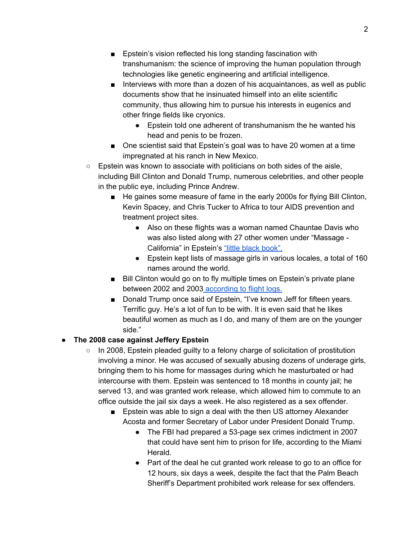- Epstein's vision reflected his long standing fascination with transhumanism: the science of improving the human population through technologies like genetic engineering and artificial intelligence.
- Interviews with more than a dozen of his acquaintances, as well as public documents show that he insinuated himself into an elite scientific community, thus allowing him to pursue his interests in eugenics and other fringe fields like cryonics.
	- Epstein told one adherent of transhumanism the he wanted his head and penis to be frozen.
- One scientist said that Epstein's goal was to have 20 women at a time impregnated at his ranch in New Mexico.
- $\circ$  Epstein was known to associate with politicians on both sides of the aisle, including Bill Clinton and Donald Trump, numerous celebrities, and other people in the public eye, including Prince Andrew.
	- He gaines some measure of fame in the early 2000s for flying Bill Clinton, Kevin Spacey, and Chris Tucker to Africa to tour AIDS prevention and treatment project sites.
		- Also on these flights was a woman named Chauntae Davis who was also listed along with 27 other women under "Massage - California" in Epstein's "little black [book".](https://gawker.com/here-is-pedophile-billionaire-jeffrey-epsteins-little-b-1681383992)
		- Epstein kept lists of massage girls in various locales, a total of 160 names around the world.
	- Bill Clinton would go on to fly multiple times on Epstein's private plane between 2002 and 2003 [according](https://gawker.com/flight-logs-put-clinton-dershowitz-on-pedophile-billio-1681039971) to flight logs.
	- Donald Trump once said of Epstein, "I've known Jeff for fifteen years. Terrific guy. He's a lot of fun to be with. It is even said that he likes beautiful women as much as I do, and many of them are on the younger side."

## **● The 2008 case against Jeffery Epstein**

- $\circ$  In 2008, Epstein pleaded guilty to a felony charge of solicitation of prostitution involving a minor. He was accused of sexually abusing dozens of underage girls, bringing them to his home for massages during which he masturbated or had intercourse with them. Epstein was sentenced to 18 months in county jail; he served 13, and was granted work release, which allowed him to commute to an office outside the jail six days a week. He also registered as a sex offender.
	- Epstein was able to sign a deal with the then US attorney Alexander Acosta and former Secretary of Labor under President Donald Trump.
		- The FBI had prepared a 53-page sex crimes indictment in 2007 that could have sent him to prison for life, according to the Miami Herald.
		- Part of the deal he cut granted work release to go to an office for 12 hours, six days a week, despite the fact that the Palm Beach Sheriff's Department prohibited work release for sex offenders.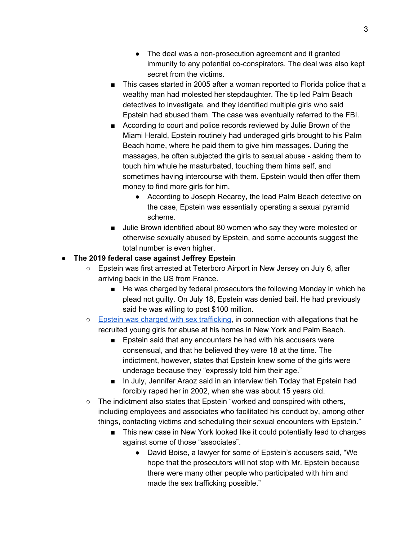- The deal was a non-prosecution agreement and it granted immunity to any potential co-conspirators. The deal was also kept secret from the victims.
- This cases started in 2005 after a woman reported to Florida police that a wealthy man had molested her stepdaughter. The tip led Palm Beach detectives to investigate, and they identified multiple girls who said Epstein had abused them. The case was eventually referred to the FBI.
- According to court and police records reviewed by Julie Brown of the Miami Herald, Epstein routinely had underaged girls brought to his Palm Beach home, where he paid them to give him massages. During the massages, he often subjected the girls to sexual abuse - asking them to touch him whule he masturbated, touching them hims self, and sometimes having intercourse with them. Epstein would then offer them money to find more girls for him.
	- According to Joseph Recarey, the lead Palm Beach detective on the case, Epstein was essentially operating a sexual pyramid scheme.
- Julie Brown identified about 80 women who say they were molested or otherwise sexually abused by Epstein, and some accounts suggest the total number is even higher.

# ● **The 2019 federal case against Jeffrey Epstein**

- Epstein was first arrested at Teterboro Airport in New Jersey on July 6, after arriving back in the US from France.
	- He was charged by federal prosecutors the following Monday in which he plead not guilty. On July 18, Epstein was denied bail. He had previously said he was willing to post \$100 million.
- Epstein was charged with sex [trafficking,](https://int.nyt.com/data/documenthelper/1362-epstein-indictment/01e39b8c091cbeac3797/optimized/full.pdf) in connection with allegations that he recruited young girls for abuse at his homes in New York and Palm Beach.
	- Epstein said that any encounters he had with his accusers were consensual, and that he believed they were 18 at the time. The indictment, however, states that Epstein knew some of the girls were underage because they "expressly told him their age."
	- In July, Jennifer Araoz said in an interview tieh Today that Epstein had forcibly raped her in 2002, when she was about 15 years old.
- The indictment also states that Epstein "worked and conspired with others, including employees and associates who facilitated his conduct by, among other things, contacting victims and scheduling their sexual encounters with Epstein."
	- This new case in New York looked like it could potentially lead to charges against some of those "associates".
		- David Boise, a lawyer for some of Epstein's accusers said, "We hope that the prosecutors will not stop with Mr. Epstein because there were many other people who participated with him and made the sex trafficking possible."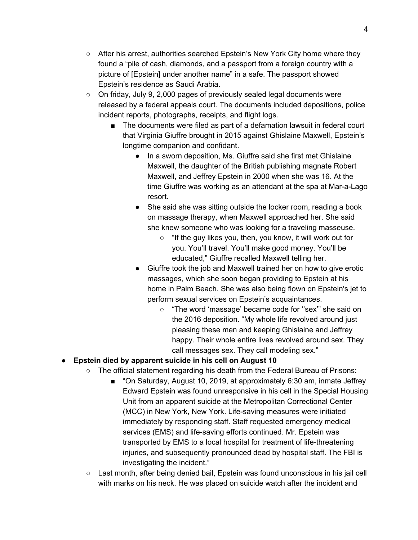- After his arrest, authorities searched Epstein's New York City home where they found a "pile of cash, diamonds, and a passport from a foreign country with a picture of [Epstein] under another name" in a safe. The passport showed Epstein's residence as Saudi Arabia.
- On friday, July 9, 2,000 pages of previously sealed legal documents were released by a federal appeals court. The documents included depositions, police incident reports, photographs, receipts, and flight logs.
	- The documents were filed as part of a defamation lawsuit in federal court that Virginia Giuffre brought in 2015 against Ghislaine Maxwell, Epstein's longtime companion and confidant.
		- In a sworn deposition, Ms. Giuffre said she first met Ghislaine Maxwell, the daughter of the British publishing magnate Robert Maxwell, and Jeffrey Epstein in 2000 when she was 16. At the time Giuffre was working as an attendant at the spa at Mar-a-Lago resort.
		- She said she was sitting outside the locker room, reading a book on massage therapy, when Maxwell approached her. She said she knew someone who was looking for a traveling masseuse.
			- "If the guy likes you, then, you know, it will work out for you. You'll travel. You'll make good money. You'll be educated," Giuffre recalled Maxwell telling her.
		- Giuffre took the job and Maxwell trained her on how to give erotic massages, which she soon began providing to Epstein at his home in Palm Beach. She was also being flown on Epstein's jet to perform sexual services on Epstein's acquaintances.
			- "The word 'massage' became code for ''sex'" she said on the 2016 deposition. "My whole life revolved around just pleasing these men and keeping Ghislaine and Jeffrey happy. Their whole entire lives revolved around sex. They call messages sex. They call modeling sex."

## **● Epstein died by apparent suicide in his cell on August 10**

- The official statement regarding his death from the Federal Bureau of Prisons:
	- "On Saturday, August 10, 2019, at approximately 6:30 am, inmate Jeffrey Edward Epstein was found unresponsive in his cell in the Special Housing Unit from an apparent suicide at the Metropolitan Correctional Center (MCC) in New York, New York. Life-saving measures were initiated immediately by responding staff. Staff requested emergency medical services (EMS) and life-saving efforts continued. Mr. Epstein was transported by EMS to a local hospital for treatment of life-threatening injuries, and subsequently pronounced dead by hospital staff. The FBI is investigating the incident."
- Last month, after being denied bail, Epstein was found unconscious in his jail cell with marks on his neck. He was placed on suicide watch after the incident and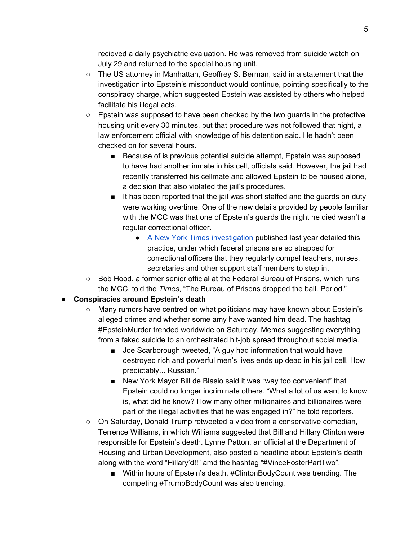recieved a daily psychiatric evaluation. He was removed from suicide watch on July 29 and returned to the special housing unit.

- The US attorney in Manhattan, Geoffrey S. Berman, said in a statement that the investigation into Epstein's misconduct would continue, pointing specifically to the conspiracy charge, which suggested Epstein was assisted by others who helped facilitate his illegal acts.
- $\circ$  Epstein was supposed to have been checked by the two quards in the protective housing unit every 30 minutes, but that procedure was not followed that night, a law enforcement official with knowledge of his detention said. He hadn't been checked on for several hours.
	- Because of is previous potential suicide attempt, Epstein was supposed to have had another inmate in his cell, officials said. However, the jail had recently transferred his cellmate and allowed Epstein to be housed alone, a decision that also violated the jail's procedures.
	- It has been reported that the jail was short staffed and the guards on duty were working overtime. One of the new details provided by people familiar with the MCC was that one of Epstein's guards the night he died wasn't a regular correctional officer.
		- A New York Times [investigation](https://www.nytimes.com/2018/06/17/us/prisons-safety-substitute-guards.html?module=inline) published last year detailed this practice, under which federal prisons are so strapped for correctional officers that they regularly compel teachers, nurses, secretaries and other support staff members to step in.
- $\circ$  Bob Hood, a former senior official at the Federal Bureau of Prisons, which runs the MCC, told the *Times*, "The Bureau of Prisons dropped the ball. Period."

## **● Conspiracies around Epstein's death**

- Many rumors have centred on what politicians may have known about Epstein's alleged crimes and whether some amy have wanted him dead. The hashtag #EpsteinMurder trended worldwide on Saturday. Memes suggesting everything from a faked suicide to an orchestrated hit-job spread throughout social media.
	- Joe Scarborough tweeted, "A guy had information that would have destroyed rich and powerful men's lives ends up dead in his jail cell. How predictably... Russian."
	- New York Mayor Bill de Blasio said it was "way too convenient" that Epstein could no longer incriminate others. "What a lot of us want to know is, what did he know? How many other millionaires and billionaires were part of the illegal activities that he was engaged in?" he told reporters.
- On Saturday, Donald Trump retweeted a video from a conservative comedian, Terrence Williams, in which Williams suggested that Bill and Hillary Clinton were responsible for Epstein's death. Lynne Patton, an official at the Department of Housing and Urban Development, also posted a headline about Epstein's death along with the word "Hillary'd!!" amd the hashtag "#VinceFosterPartTwo".
	- Within hours of Epstein's death, #ClintonBodyCount was trending. The competing #TrumpBodyCount was also trending.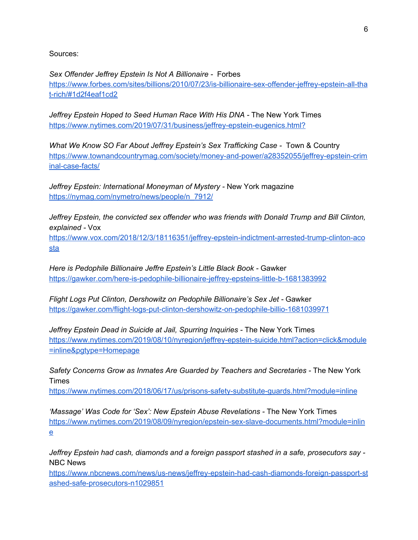Sources:

*Sex Offender Jeffrey Epstein Is Not A Billionaire -* Forbes [https://www.forbes.com/sites/billions/2010/07/23/is-billionaire-sex-offender-jeffrey-epstein-all-tha](https://www.forbes.com/sites/billions/2010/07/23/is-billionaire-sex-offender-jeffrey-epstein-all-that-rich/#1d2f4eaf1cd2) [t-rich/#1d2f4eaf1cd2](https://www.forbes.com/sites/billions/2010/07/23/is-billionaire-sex-offender-jeffrey-epstein-all-that-rich/#1d2f4eaf1cd2)

*Jeffrey Epstein Hoped to Seed Human Race With His DNA -* The New York Times <https://www.nytimes.com/2019/07/31/business/jeffrey-epstein-eugenics.html?>

*What We Know SO Far About Jeffrey Epstein's Sex Trafficking Case -* Town & Country [https://www.townandcountrymag.com/society/money-and-power/a28352055/jeffrey-epstein-crim](https://www.townandcountrymag.com/society/money-and-power/a28352055/jeffrey-epstein-criminal-case-facts/) [inal-case-facts/](https://www.townandcountrymag.com/society/money-and-power/a28352055/jeffrey-epstein-criminal-case-facts/)

*Jeffrey Epstein: International Moneyman of Mystery -* New York magazine [https://nymag.com/nymetro/news/people/n\\_7912/](https://nymag.com/nymetro/news/people/n_7912/)

*Jeffrey Epstein, the convicted sex offender who was friends with Donald Trump and Bill Clinton, explained -* Vox

[https://www.vox.com/2018/12/3/18116351/jeffrey-epstein-indictment-arrested-trump-clinton-aco](https://www.vox.com/2018/12/3/18116351/jeffrey-epstein-indictment-arrested-trump-clinton-acosta) [sta](https://www.vox.com/2018/12/3/18116351/jeffrey-epstein-indictment-arrested-trump-clinton-acosta)

*Here is Pedophile Billionaire Jeffre Epstein's Little Black Book -* Gawker <https://gawker.com/here-is-pedophile-billionaire-jeffrey-epsteins-little-b-1681383992>

*Flight Logs Put Clinton, Dershowitz on Pedophile Billionaire's Sex Jet -* Gawker <https://gawker.com/flight-logs-put-clinton-dershowitz-on-pedophile-billio-1681039971>

*Jeffrey Epstein Dead in Suicide at Jail, Spurring Inquiries -* The New York Times [https://www.nytimes.com/2019/08/10/nyregion/jeffrey-epstein-suicide.html?action=click&module](https://www.nytimes.com/2019/08/10/nyregion/jeffrey-epstein-suicide.html?action=click&module=inline&pgtype=Homepage) [=inline&pgtype=Homepage](https://www.nytimes.com/2019/08/10/nyregion/jeffrey-epstein-suicide.html?action=click&module=inline&pgtype=Homepage)

*Safety Concerns Grow as Inmates Are Guarded by Teachers and Secretaries -* The New York Times

<https://www.nytimes.com/2018/06/17/us/prisons-safety-substitute-guards.html?module=inline>

*'Massage' Was Code for 'Sex': New Epstein Abuse Revelations -* The New York Times [https://www.nytimes.com/2019/08/09/nyregion/epstein-sex-slave-documents.html?module=inlin](https://www.nytimes.com/2019/08/09/nyregion/epstein-sex-slave-documents.html?module=inline) [e](https://www.nytimes.com/2019/08/09/nyregion/epstein-sex-slave-documents.html?module=inline)

*Jeffrey Epstein had cash, diamonds and a foreign passport stashed in a safe, prosecutors say -* NBC News

[https://www.nbcnews.com/news/us-news/jeffrey-epstein-had-cash-diamonds-foreign-passport-st](https://www.nbcnews.com/news/us-news/jeffrey-epstein-had-cash-diamonds-foreign-passport-stashed-safe-prosecutors-n1029851) [ashed-safe-prosecutors-n1029851](https://www.nbcnews.com/news/us-news/jeffrey-epstein-had-cash-diamonds-foreign-passport-stashed-safe-prosecutors-n1029851)